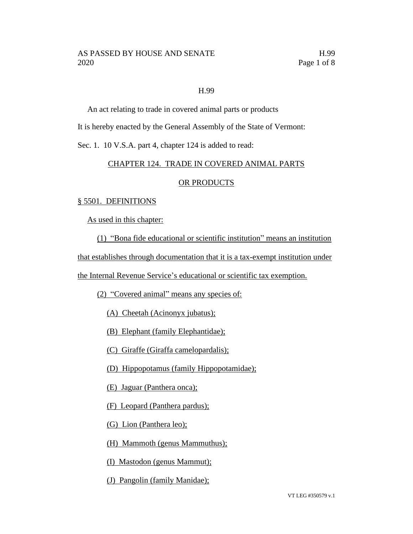## H.99

An act relating to trade in covered animal parts or products

It is hereby enacted by the General Assembly of the State of Vermont:

Sec. 1. 10 V.S.A. part 4, chapter 124 is added to read:

## CHAPTER 124. TRADE IN COVERED ANIMAL PARTS

## OR PRODUCTS

#### § 5501. DEFINITIONS

As used in this chapter:

(1) "Bona fide educational or scientific institution" means an institution

that establishes through documentation that it is a tax-exempt institution under

the Internal Revenue Service's educational or scientific tax exemption.

(2) "Covered animal" means any species of:

(A) Cheetah (Acinonyx jubatus);

(B) Elephant (family Elephantidae);

(C) Giraffe (Giraffa camelopardalis);

(D) Hippopotamus (family Hippopotamidae);

(E) Jaguar (Panthera onca);

(F) Leopard (Panthera pardus);

(G) Lion (Panthera leo);

(H) Mammoth (genus Mammuthus);

(I) Mastodon (genus Mammut);

(J) Pangolin (family Manidae);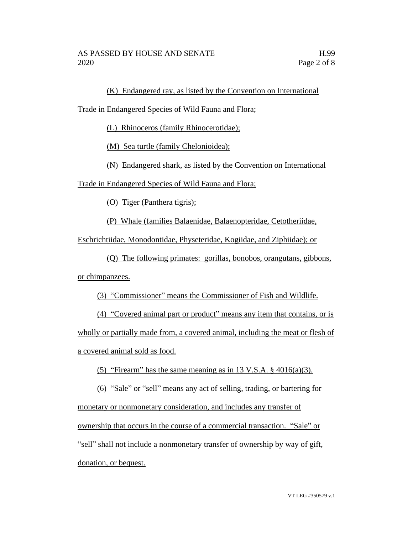(K) Endangered ray, as listed by the Convention on International

Trade in Endangered Species of Wild Fauna and Flora;

(L) Rhinoceros (family Rhinocerotidae);

(M) Sea turtle (family Chelonioidea);

(N) Endangered shark, as listed by the Convention on International

Trade in Endangered Species of Wild Fauna and Flora;

(O) Tiger (Panthera tigris);

(P) Whale (families Balaenidae, Balaenopteridae, Cetotheriidae,

Eschrichtiidae, Monodontidae, Physeteridae, Kogiidae, and Ziphiidae); or

(Q) The following primates: gorillas, bonobos, orangutans, gibbons, or chimpanzees.

(3) "Commissioner" means the Commissioner of Fish and Wildlife.

(4) "Covered animal part or product" means any item that contains, or is wholly or partially made from, a covered animal, including the meat or flesh of a covered animal sold as food.

(5) "Firearm" has the same meaning as in 13 V.S.A.  $\S$  4016(a)(3).

(6) "Sale" or "sell" means any act of selling, trading, or bartering for monetary or nonmonetary consideration, and includes any transfer of ownership that occurs in the course of a commercial transaction. "Sale" or "sell" shall not include a nonmonetary transfer of ownership by way of gift, donation, or bequest.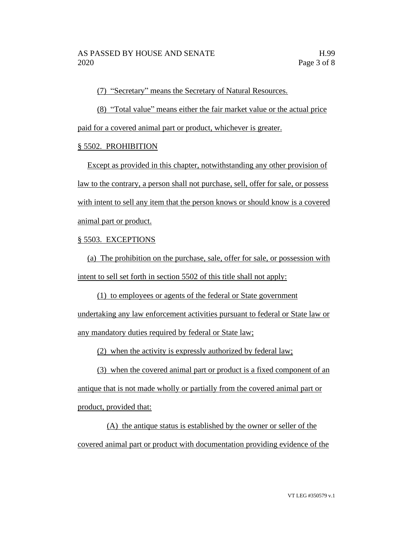(7) "Secretary" means the Secretary of Natural Resources.

(8) "Total value" means either the fair market value or the actual price paid for a covered animal part or product, whichever is greater.

# § 5502. PROHIBITION

Except as provided in this chapter, notwithstanding any other provision of law to the contrary, a person shall not purchase, sell, offer for sale, or possess with intent to sell any item that the person knows or should know is a covered animal part or product.

# § 5503. EXCEPTIONS

(a) The prohibition on the purchase, sale, offer for sale, or possession with intent to sell set forth in section 5502 of this title shall not apply:

(1) to employees or agents of the federal or State government undertaking any law enforcement activities pursuant to federal or State law or any mandatory duties required by federal or State law;

(2) when the activity is expressly authorized by federal law;

(3) when the covered animal part or product is a fixed component of an antique that is not made wholly or partially from the covered animal part or product, provided that:

(A) the antique status is established by the owner or seller of the covered animal part or product with documentation providing evidence of the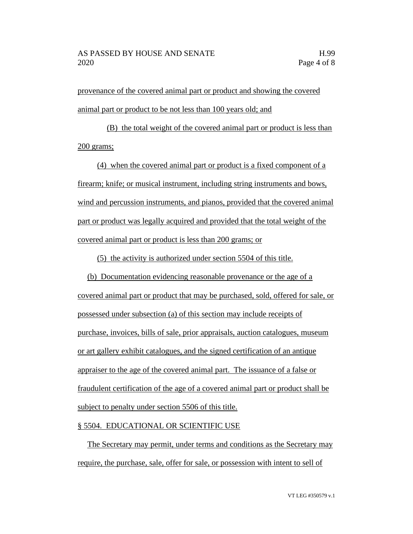provenance of the covered animal part or product and showing the covered animal part or product to be not less than 100 years old; and

(B) the total weight of the covered animal part or product is less than 200 grams;

(4) when the covered animal part or product is a fixed component of a firearm; knife; or musical instrument, including string instruments and bows, wind and percussion instruments, and pianos, provided that the covered animal part or product was legally acquired and provided that the total weight of the covered animal part or product is less than 200 grams; or

(5) the activity is authorized under section 5504 of this title.

(b) Documentation evidencing reasonable provenance or the age of a covered animal part or product that may be purchased, sold, offered for sale, or possessed under subsection (a) of this section may include receipts of purchase, invoices, bills of sale, prior appraisals, auction catalogues, museum or art gallery exhibit catalogues, and the signed certification of an antique appraiser to the age of the covered animal part. The issuance of a false or fraudulent certification of the age of a covered animal part or product shall be subject to penalty under section 5506 of this title.

#### § 5504. EDUCATIONAL OR SCIENTIFIC USE

The Secretary may permit, under terms and conditions as the Secretary may require, the purchase, sale, offer for sale, or possession with intent to sell of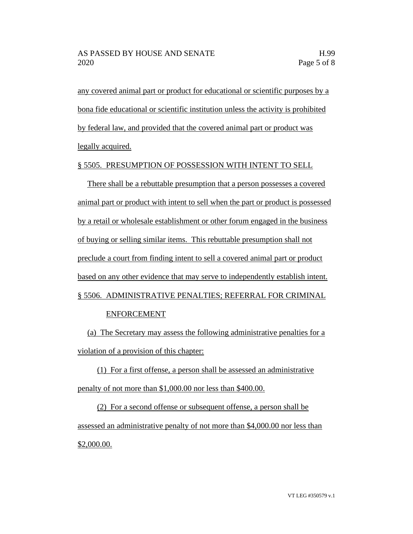any covered animal part or product for educational or scientific purposes by a bona fide educational or scientific institution unless the activity is prohibited by federal law, and provided that the covered animal part or product was legally acquired.

## § 5505. PRESUMPTION OF POSSESSION WITH INTENT TO SELL

There shall be a rebuttable presumption that a person possesses a covered animal part or product with intent to sell when the part or product is possessed by a retail or wholesale establishment or other forum engaged in the business of buying or selling similar items. This rebuttable presumption shall not preclude a court from finding intent to sell a covered animal part or product based on any other evidence that may serve to independently establish intent. § 5506. ADMINISTRATIVE PENALTIES; REFERRAL FOR CRIMINAL

# ENFORCEMENT

(a) The Secretary may assess the following administrative penalties for a violation of a provision of this chapter:

(1) For a first offense, a person shall be assessed an administrative penalty of not more than \$1,000.00 nor less than \$400.00.

(2) For a second offense or subsequent offense, a person shall be assessed an administrative penalty of not more than \$4,000.00 nor less than \$2,000.00.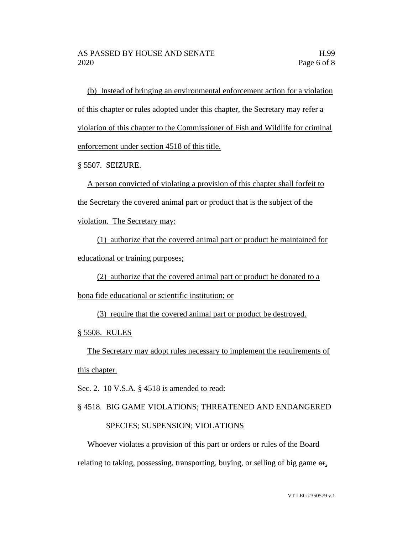(b) Instead of bringing an environmental enforcement action for a violation of this chapter or rules adopted under this chapter, the Secretary may refer a violation of this chapter to the Commissioner of Fish and Wildlife for criminal enforcement under section 4518 of this title.

§ 5507. SEIZURE.

A person convicted of violating a provision of this chapter shall forfeit to the Secretary the covered animal part or product that is the subject of the violation. The Secretary may:

(1) authorize that the covered animal part or product be maintained for educational or training purposes;

(2) authorize that the covered animal part or product be donated to a bona fide educational or scientific institution; or

(3) require that the covered animal part or product be destroyed.

§ 5508. RULES

The Secretary may adopt rules necessary to implement the requirements of

this chapter.

Sec. 2. 10 V.S.A. § 4518 is amended to read:

# § 4518. BIG GAME VIOLATIONS; THREATENED AND ENDANGERED

#### SPECIES; SUSPENSION; VIOLATIONS

Whoever violates a provision of this part or orders or rules of the Board relating to taking, possessing, transporting, buying, or selling of big game  $\sigma_{f}$ ,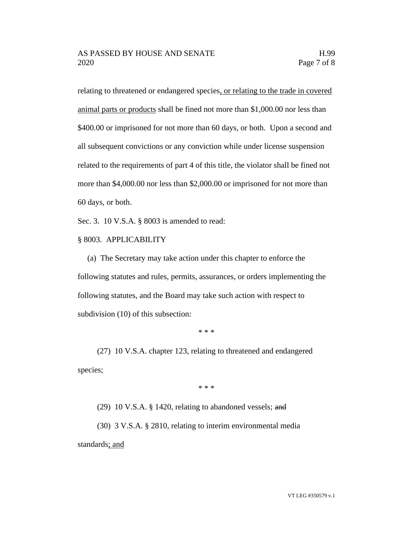relating to threatened or endangered species, or relating to the trade in covered animal parts or products shall be fined not more than \$1,000.00 nor less than \$400.00 or imprisoned for not more than 60 days, or both. Upon a second and all subsequent convictions or any conviction while under license suspension related to the requirements of part 4 of this title, the violator shall be fined not more than \$4,000.00 nor less than \$2,000.00 or imprisoned for not more than 60 days, or both.

Sec. 3. 10 V.S.A. § 8003 is amended to read:

§ 8003. APPLICABILITY

(a) The Secretary may take action under this chapter to enforce the following statutes and rules, permits, assurances, or orders implementing the following statutes, and the Board may take such action with respect to subdivision (10) of this subsection:

\* \* \*

(27) 10 V.S.A. chapter 123, relating to threatened and endangered species;

\* \* \*

(29) 10 V.S.A. § 1420, relating to abandoned vessels; and

(30) 3 V.S.A. § 2810, relating to interim environmental media standards; and